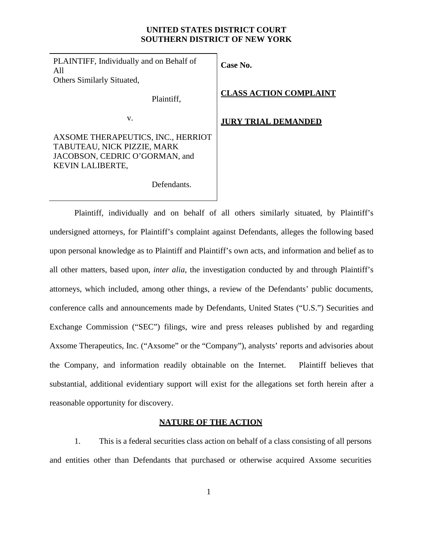### **UNITED STATES DISTRICT COURT SOUTHERN DISTRICT OF NEW YORK**

PLAINTIFF, Individually and on Behalf of All Others Similarly Situated,

Plaintiff,

**Case No.**

**CLASS ACTION COMPLAINT**

v.

AXSOME THERAPEUTICS, INC., HERRIOT TABUTEAU, NICK PIZZIE, MARK JACOBSON, CEDRIC O'GORMAN, and KEVIN LALIBERTE,

### **JURY TRIAL DEMANDED**

Defendants.

Plaintiff, individually and on behalf of all others similarly situated, by Plaintiff's undersigned attorneys, for Plaintiff's complaint against Defendants, alleges the following based upon personal knowledge as to Plaintiff and Plaintiff's own acts, and information and belief as to all other matters, based upon, *inter alia*, the investigation conducted by and through Plaintiff's attorneys, which included, among other things, a review of the Defendants' public documents, conference calls and announcements made by Defendants, United States ("U.S.") Securities and Exchange Commission ("SEC") filings, wire and press releases published by and regarding Axsome Therapeutics, Inc. ("Axsome" or the "Company"), analysts' reports and advisories about the Company, and information readily obtainable on the Internet. Plaintiff believes that substantial, additional evidentiary support will exist for the allegations set forth herein after a reasonable opportunity for discovery.

### **NATURE OF THE ACTION**

1. This is a federal securities class action on behalf of a class consisting of all persons and entities other than Defendants that purchased or otherwise acquired Axsome securities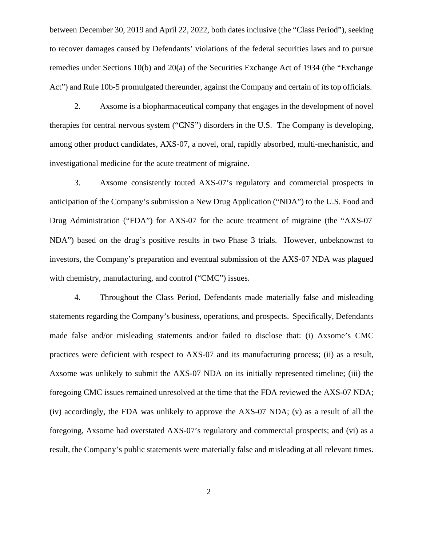between December 30, 2019 and April 22, 2022, both dates inclusive (the "Class Period"), seeking to recover damages caused by Defendants' violations of the federal securities laws and to pursue remedies under Sections 10(b) and 20(a) of the Securities Exchange Act of 1934 (the "Exchange Act") and Rule 10b-5 promulgated thereunder, against the Company and certain of its top officials.

2. Axsome is a biopharmaceutical company that engages in the development of novel therapies for central nervous system ("CNS") disorders in the U.S. The Company is developing, among other product candidates, AXS-07, a novel, oral, rapidly absorbed, multi-mechanistic, and investigational medicine for the acute treatment of migraine.

3. Axsome consistently touted AXS-07's regulatory and commercial prospects in anticipation of the Company's submission a New Drug Application ("NDA") to the U.S. Food and Drug Administration ("FDA") for AXS-07 for the acute treatment of migraine (the "AXS-07 NDA") based on the drug's positive results in two Phase 3 trials. However, unbeknownst to investors, the Company's preparation and eventual submission of the AXS-07 NDA was plagued with chemistry, manufacturing, and control ("CMC") issues.

4. Throughout the Class Period, Defendants made materially false and misleading statements regarding the Company's business, operations, and prospects. Specifically, Defendants made false and/or misleading statements and/or failed to disclose that: (i) Axsome's CMC practices were deficient with respect to AXS-07 and its manufacturing process; (ii) as a result, Axsome was unlikely to submit the AXS-07 NDA on its initially represented timeline; (iii) the foregoing CMC issues remained unresolved at the time that the FDA reviewed the AXS-07 NDA; (iv) accordingly, the FDA was unlikely to approve the AXS-07 NDA; (v) as a result of all the foregoing, Axsome had overstated AXS-07's regulatory and commercial prospects; and (vi) as a result, the Company's public statements were materially false and misleading at all relevant times.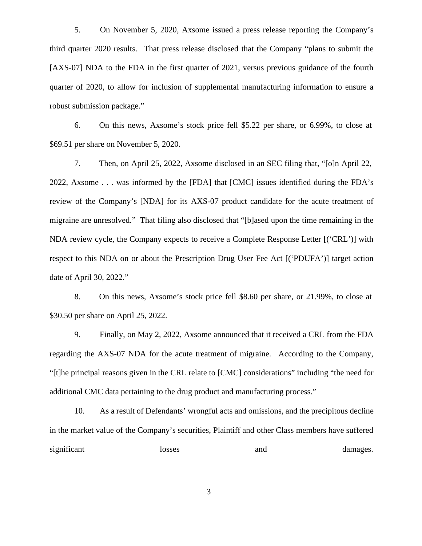5. On November 5, 2020, Axsome issued a press release reporting the Company's third quarter 2020 results. That press release disclosed that the Company "plans to submit the [AXS-07] NDA to the FDA in the first quarter of 2021, versus previous guidance of the fourth quarter of 2020, to allow for inclusion of supplemental manufacturing information to ensure a robust submission package."

6. On this news, Axsome's stock price fell \$5.22 per share, or 6.99%, to close at \$69.51 per share on November 5, 2020.

7. Then, on April 25, 2022, Axsome disclosed in an SEC filing that, "[o]n April 22, 2022, Axsome . . . was informed by the [FDA] that [CMC] issues identified during the FDA's review of the Company's [NDA] for its AXS-07 product candidate for the acute treatment of migraine are unresolved." That filing also disclosed that "[b]ased upon the time remaining in the NDA review cycle, the Company expects to receive a Complete Response Letter [('CRL')] with respect to this NDA on or about the Prescription Drug User Fee Act [('PDUFA')] target action date of April 30, 2022."

8. On this news, Axsome's stock price fell \$8.60 per share, or 21.99%, to close at \$30.50 per share on April 25, 2022.

9. Finally, on May 2, 2022, Axsome announced that it received a CRL from the FDA regarding the AXS-07 NDA for the acute treatment of migraine. According to the Company, "[t]he principal reasons given in the CRL relate to [CMC] considerations" including "the need for additional CMC data pertaining to the drug product and manufacturing process."

10. As a result of Defendants' wrongful acts and omissions, and the precipitous decline in the market value of the Company's securities, Plaintiff and other Class members have suffered significant losses and damages.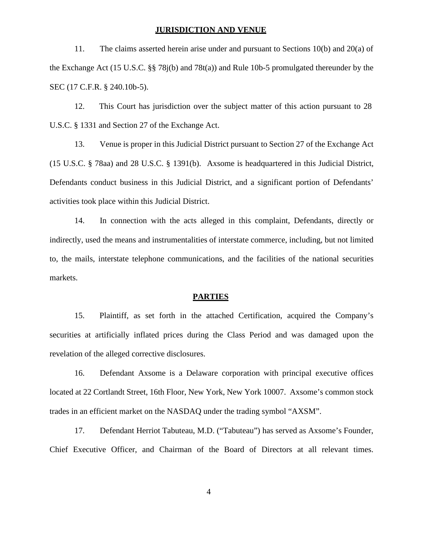#### **JURISDICTION AND VENUE**

11. The claims asserted herein arise under and pursuant to Sections 10(b) and 20(a) of the Exchange Act (15 U.S.C. §§ 78j(b) and 78t(a)) and Rule 10b-5 promulgated thereunder by the SEC (17 C.F.R. § 240.10b-5).

12. This Court has jurisdiction over the subject matter of this action pursuant to 28 U.S.C. § 1331 and Section 27 of the Exchange Act.

13. Venue is proper in this Judicial District pursuant to Section 27 of the Exchange Act (15 U.S.C. § 78aa) and 28 U.S.C. § 1391(b). Axsome is headquartered in this Judicial District, Defendants conduct business in this Judicial District, and a significant portion of Defendants' activities took place within this Judicial District.

14. In connection with the acts alleged in this complaint, Defendants, directly or indirectly, used the means and instrumentalities of interstate commerce, including, but not limited to, the mails, interstate telephone communications, and the facilities of the national securities markets.

#### **PARTIES**

15. Plaintiff, as set forth in the attached Certification, acquired the Company's securities at artificially inflated prices during the Class Period and was damaged upon the revelation of the alleged corrective disclosures.

16. Defendant Axsome is a Delaware corporation with principal executive offices located at 22 Cortlandt Street, 16th Floor, New York, New York 10007. Axsome's common stock trades in an efficient market on the NASDAQ under the trading symbol "AXSM".

17. Defendant Herriot Tabuteau, M.D. ("Tabuteau") has served as Axsome's Founder, Chief Executive Officer, and Chairman of the Board of Directors at all relevant times.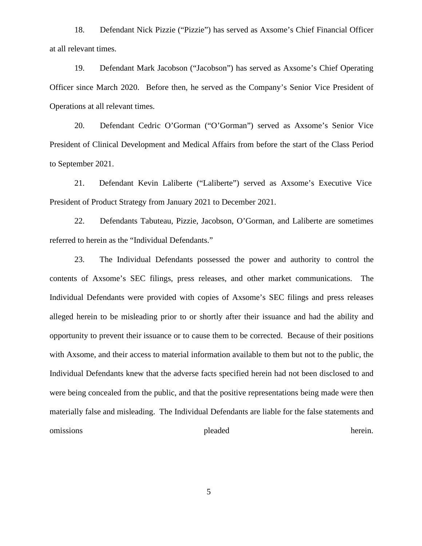18. Defendant Nick Pizzie ("Pizzie") has served as Axsome's Chief Financial Officer at all relevant times.

19. Defendant Mark Jacobson ("Jacobson") has served as Axsome's Chief Operating Officer since March 2020. Before then, he served as the Company's Senior Vice President of Operations at all relevant times.

20. Defendant Cedric O'Gorman ("O'Gorman") served as Axsome's Senior Vice President of Clinical Development and Medical Affairs from before the start of the Class Period to September 2021.

21. Defendant Kevin Laliberte ("Laliberte") served as Axsome's Executive Vice President of Product Strategy from January 2021 to December 2021.

22. Defendants Tabuteau, Pizzie, Jacobson, O'Gorman, and Laliberte are sometimes referred to herein as the "Individual Defendants."

23. The Individual Defendants possessed the power and authority to control the contents of Axsome's SEC filings, press releases, and other market communications. The Individual Defendants were provided with copies of Axsome's SEC filings and press releases alleged herein to be misleading prior to orshortly after their issuance and had the ability and opportunity to prevent their issuance or to cause them to be corrected. Because of their positions with Axsome, and their access to material information available to them but not to the public, the Individual Defendants knew that the adverse facts specified herein had not been disclosed to and were being concealed from the public, and that the positive representations being made were then materially false and misleading. The Individual Defendants are liable for the false statements and omissions between the pleaded therein.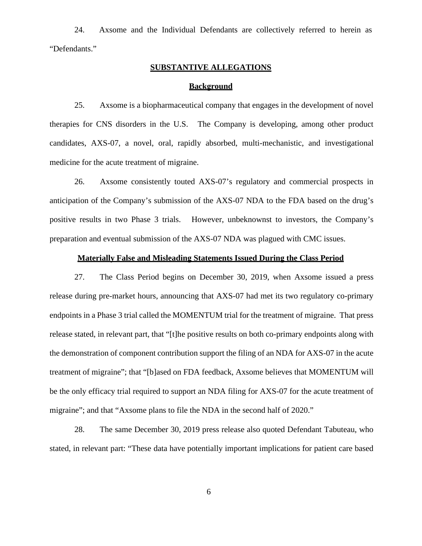24. Axsome and the Individual Defendants are collectively referred to herein as "Defendants."

# **SUBSTANTIVE ALLEGATIONS**

### **Background**

25. Axsome is a biopharmaceutical company that engages in the development of novel therapies for CNS disorders in the U.S. The Company is developing, among other product candidates, AXS-07, a novel, oral, rapidly absorbed, multi-mechanistic, and investigational medicine for the acute treatment of migraine.

26. Axsome consistently touted AXS-07's regulatory and commercial prospects in anticipation of the Company's submission of the AXS-07 NDA to the FDA based on the drug's positive results in two Phase 3 trials. However, unbeknownst to investors, the Company's preparation and eventual submission of the AXS-07 NDA was plagued with CMC issues.

### **Materially False and Misleading Statements Issued During the Class Period**

27. The Class Period begins on December 30, 2019, when Axsome issued a press release during pre-market hours, announcing that AXS-07 had met its two regulatory co-primary endpoints in a Phase 3 trial called the MOMENTUM trial for the treatment of migraine. That press release stated, in relevant part, that "[t]he positive results on both co-primary endpoints along with the demonstration of component contribution support the filing of an NDA for AXS-07 in the acute treatment of migraine"; that "[b]ased on FDA feedback, Axsome believes that MOMENTUM will be the only efficacy trial required to support an NDA filing for AXS-07 for the acute treatment of migraine"; and that "Axsome plans to file the NDA in the second half of 2020."

28. The same December 30, 2019 press release also quoted Defendant Tabuteau, who stated, in relevant part: "These data have potentially important implications for patient care based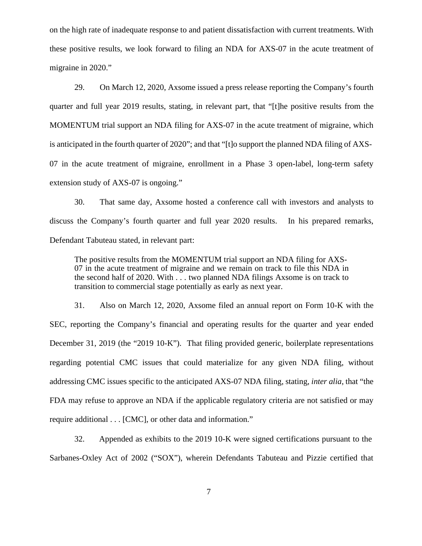on the high rate of inadequate response to and patient dissatisfaction with current treatments. With these positive results, we look forward to filing an NDA for AXS-07 in the acute treatment of migraine in 2020."

29. On March 12, 2020, Axsome issued a press release reporting the Company's fourth quarter and full year 2019 results, stating, in relevant part, that "[t]he positive results from the MOMENTUM trial support an NDA filing for AXS-07 in the acute treatment of migraine, which is anticipated in the fourth quarter of 2020"; and that "[t]o support the planned NDA filing of AXS- 07 in the acute treatment of migraine, enrollment in a Phase 3 open-label, long-term safety extension study of AXS-07 is ongoing."

30. That same day, Axsome hosted a conference call with investors and analysts to discuss the Company's fourth quarter and full year 2020 results. In his prepared remarks, Defendant Tabuteau stated, in relevant part:

The positive results from the MOMENTUM trial support an NDA filing for AXS- 07 in the acute treatment of migraine and we remain on track to file this NDA in the second half of 2020. With . . . two planned NDA filings Axsome is on track to transition to commercial stage potentially as early as next year.

31. Also on March 12, 2020, Axsome filed an annual report on Form 10-K with the SEC, reporting the Company's financial and operating results for the quarter and year ended December 31, 2019 (the "2019 10-K"). That filing provided generic, boilerplate representations regarding potential CMC issues that could materialize for any given NDA filing, without addressing CMC issues specific to the anticipated AXS-07 NDA filing, stating, *inter alia*, that "the FDA may refuse to approve an NDA if the applicable regulatory criteria are not satisfied or may require additional . . . [CMC], or other data and information."

32. Appended as exhibits to the 2019 10-K were signed certifications pursuant to the Sarbanes-Oxley Act of 2002 ("SOX"), wherein Defendants Tabuteau and Pizzie certified that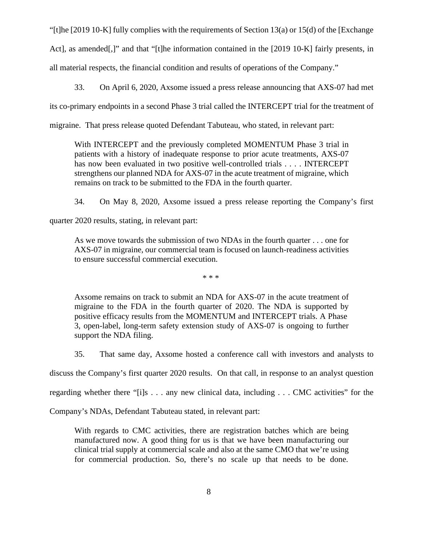"[t]he [2019 10-K] fully complies with the requirements of Section 13(a) or 15(d) of the [Exchange Act], as amended[,]" and that "[t]he information contained in the [2019 10-K] fairly presents, in all material respects, the financial condition and results of operations of the Company."

33. On April 6, 2020, Axsome issued a press release announcing that AXS-07 had met

its co-primary endpoints in a second Phase 3 trial called the INTERCEPT trial for the treatment of

migraine. That press release quoted Defendant Tabuteau, who stated, in relevant part:

With INTERCEPT and the previously completed MOMENTUM Phase 3 trial in patients with a history of inadequate response to prior acute treatments, AXS-07 has now been evaluated in two positive well-controlled trials . . . . INTERCEPT strengthens our planned NDA for AXS-07 in the acute treatment of migraine, which remains on track to be submitted to the FDA in the fourth quarter.

34. On May 8, 2020, Axsome issued a press release reporting the Company's first

quarter 2020 results, stating, in relevant part:

As we move towards the submission of two NDAs in the fourth quarter . . . one for AXS-07 in migraine, our commercial team is focused on launch-readiness activities to ensure successful commercial execution.

\* \* \*

Axsome remains on track to submit an NDA for AXS-07 in the acute treatment of migraine to the FDA in the fourth quarter of 2020. The NDA is supported by positive efficacy results from the MOMENTUM and INTERCEPT trials. A Phase 3, open-label, long-term safety extension study of AXS-07 is ongoing to further support the NDA filing.

35. That same day, Axsome hosted a conference call with investors and analysts to

discuss the Company's first quarter 2020 results. On that call, in response to an analyst question

regarding whether there "[i]s . . . any new clinical data, including . . . CMC activities" for the

Company's NDAs, Defendant Tabuteau stated, in relevant part:

With regards to CMC activities, there are registration batches which are being manufactured now. A good thing for us is that we have been manufacturing our clinical trial supply at commercial scale and also at the same CMO that we're using for commercial production. So, there's no scale up that needs to be done.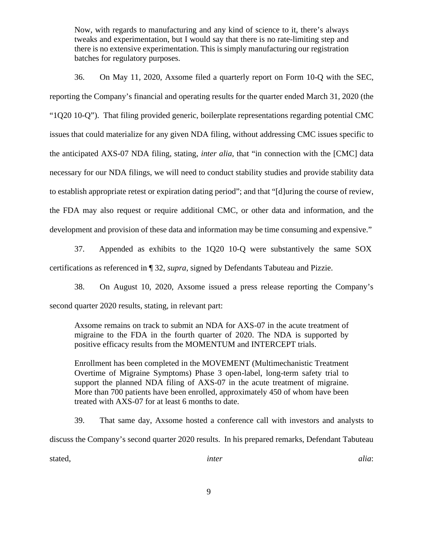Now, with regards to manufacturing and any kind of science to it, there's always tweaks and experimentation, but I would say that there is no rate-limiting step and there is no extensive experimentation. This is simply manufacturing our registration batches for regulatory purposes.

36. On May 11, 2020, Axsome filed a quarterly report on Form 10-Q with the SEC, reporting the Company's financial and operating results for the quarter ended March 31, 2020 (the "1Q20 10-Q"). That filing provided generic, boilerplate representations regarding potential CMC issues that could materialize for any given NDA filing, without addressing CMC issues specific to the anticipated AXS-07 NDA filing, stating, *inter alia*, that "in connection with the [CMC] data necessary for our NDA filings, we will need to conduct stability studies and provide stability data to establish appropriate retest or expiration dating period"; and that "[d]uring the course of review, the FDA may also request or require additional CMC, or other data and information, and the development and provision of these data and information may be time consuming and expensive."

37. Appended as exhibits to the 1Q20 10-Q were substantively the same SOX certifications as referenced in ¶ 32, *supra*, signed by Defendants Tabuteau and Pizzie.

38. On August 10, 2020, Axsome issued a press release reporting the Company's second quarter 2020 results, stating, in relevant part:

Axsome remains on track to submit an NDA for AXS-07 in the acute treatment of migraine to the FDA in the fourth quarter of 2020. The NDA is supported by positive efficacy results from the MOMENTUM and INTERCEPT trials.

Enrollment has been completed in the MOVEMENT (Multimechanistic Treatment Overtime of Migraine Symptoms) Phase 3 open-label, long-term safety trial to support the planned NDA filing of AXS-07 in the acute treatment of migraine. More than 700 patients have been enrolled, approximately 450 of whom have been treated with AXS-07 for at least 6 months to date.

39. That same day, Axsome hosted a conference call with investors and analysts to discuss the Company's second quarter 2020 results. In his prepared remarks, Defendant Tabuteau stated, *inter alia*: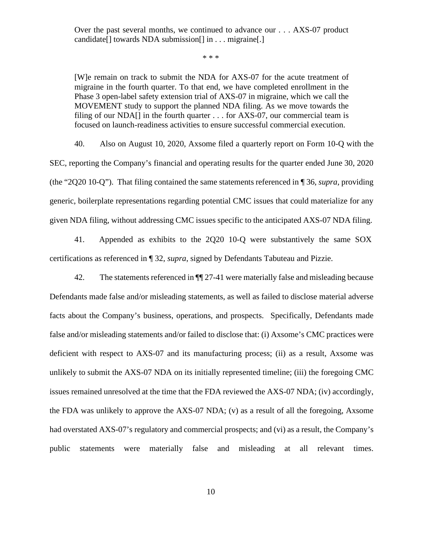Over the past several months, we continued to advance our . . . AXS-07 product candidate<sup>[]</sup> towards NDA submission<sup>[]</sup> in . . . migraine<sup>[1]</sup>

\* \* \*

[W]e remain on track to submit the NDA for AXS-07 for the acute treatment of migraine in the fourth quarter. To that end, we have completed enrollment in the Phase 3 open-label safety extension trial of AXS-07 in migraine, which we call the MOVEMENT study to support the planned NDA filing. As we move towards the filing of our NDA $\left[ \right]$  in the fourth quarter ... for AXS-07, our commercial team is focused on launch-readiness activities to ensure successful commercial execution.

40. Also on August 10, 2020, Axsome filed a quarterly report on Form 10-Q with the SEC, reporting the Company's financial and operating results for the quarter ended June 30, 2020 (the "2Q20 10-Q"). That filing contained the same statements referenced in ¶ 36,*supra*, providing generic, boilerplate representations regarding potential CMC issues that could materialize for any given NDA filing, without addressing CMC issues specific to the anticipated AXS-07 NDA filing.

41. Appended as exhibits to the 2Q20 10-Q were substantively the same SOX certifications as referenced in ¶ 32, *supra*, signed by Defendants Tabuteau and Pizzie.

42. The statements referenced in ¶¶ 27-41 were materially false and misleading because Defendants made false and/or misleading statements, as well as failed to disclose material adverse facts about the Company's business, operations, and prospects. Specifically, Defendants made false and/or misleading statements and/or failed to disclose that: (i) Axsome's CMC practices were deficient with respect to AXS-07 and its manufacturing process; (ii) as a result, Axsome was unlikely to submit the AXS-07 NDA on its initially represented timeline; (iii) the foregoing CMC issues remained unresolved at the time that the FDA reviewed the AXS-07 NDA; (iv) accordingly, the FDA was unlikely to approve the AXS-07 NDA; (v) as a result of all the foregoing, Axsome had overstated AXS-07's regulatory and commercial prospects; and (vi) as a result, the Company's public statements were materially false and misleading at all relevant times.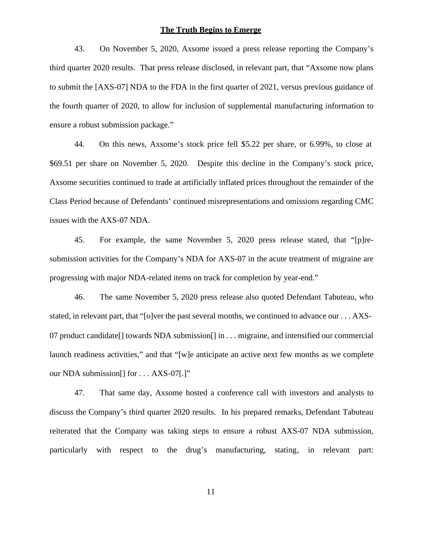#### **The Truth Begins to Emerge**

43. On November 5, 2020, Axsome issued a press release reporting the Company's third quarter 2020 results. That press release disclosed, in relevant part, that "Axsome now plans to submit the [AXS-07] NDA to the FDA in the first quarter of 2021, versus previous guidance of the fourth quarter of 2020, to allow for inclusion of supplemental manufacturing information to ensure a robust submission package."

44. On this news, Axsome's stock price fell \$5.22 per share, or 6.99%, to close at \$69.51 per share on November 5, 2020. Despite this decline in the Company's stock price, Axsome securities continued to trade at artificially inflated prices throughout the remainder of the Class Period because of Defendants' continued misrepresentations and omissions regarding CMC issues with the AXS-07 NDA.

45. For example, the same November 5, 2020 press release stated, that "[p]re submission activities for the Company's NDA for AXS-07 in the acute treatment of migraine are progressing with major NDA-related items on track for completion by year-end."

46. The same November 5, 2020 press release also quoted Defendant Tabuteau, who stated, in relevant part, that "[o]ver the past several months, we continued to advance our . . . AXS- 07 product candidate[] towards NDA submission[] in . . . migraine, and intensified our commercial launch readiness activities," and that "[w]e anticipate an active next few months as we complete our NDA submission[] for . . . AXS-07[.]"

47. That same day, Axsome hosted a conference call with investors and analysts to discuss the Company's third quarter 2020 results. In his prepared remarks, Defendant Tabuteau reiterated that the Company was taking steps to ensure a robust AXS-07 NDA submission, particularly with respect to the drug's manufacturing, stating, in relevant part: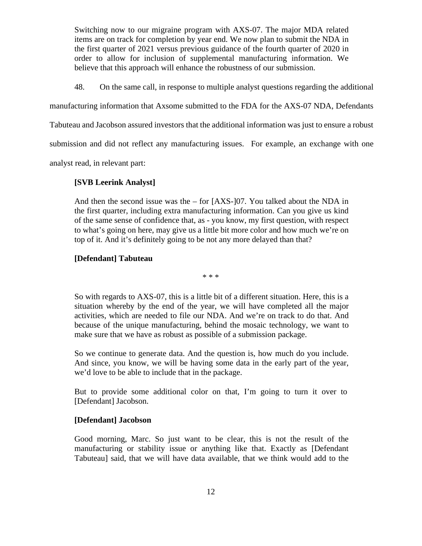Switching now to our migraine program with AXS-07. The major MDA related items are on track for completion by year end. We now plan to submit the NDA in the first quarter of 2021 versus previous guidance of the fourth quarter of 2020 in order to allow for inclusion of supplemental manufacturing information. We believe that this approach will enhance the robustness of our submission.

48. On the same call, in response to multiple analyst questions regarding the additional

manufacturing information that Axsome submitted to the FDA for the AXS-07 NDA, Defendants

Tabuteau and Jacobson assured investors that the additional information was just to ensure a robust

submission and did not reflect any manufacturing issues. For example, an exchange with one

analyst read, in relevant part:

# **[SVB Leerink Analyst]**

And then the second issue was the – for [AXS-]07. You talked about the NDA in the first quarter, including extra manufacturing information. Can you give us kind of the same sense of confidence that, as - you know, my first question, with respect to what's going on here, may give us a little bit more color and how much we're on top of it. And it's definitely going to be not any more delayed than that?

### **[Defendant] Tabuteau**

\* \* \*

So with regards to AXS-07, this is a little bit of a different situation. Here, this is a situation whereby by the end of the year, we will have completed all the major activities, which are needed to file our NDA. And we're on track to do that. And because of the unique manufacturing, behind the mosaic technology, we want to make sure that we have as robust as possible of a submission package.

So we continue to generate data. And the question is, how much do you include. And since, you know, we will be having some data in the early part of the year, we'd love to be able to include that in the package.

But to provide some additional color on that, I'm going to turn it over to [Defendant] Jacobson.

### **[Defendant] Jacobson**

Good morning, Marc. So just want to be clear, this is not the result of the manufacturing or stability issue or anything like that. Exactly as [Defendant Tabuteau] said, that we will have data available, that we think would add to the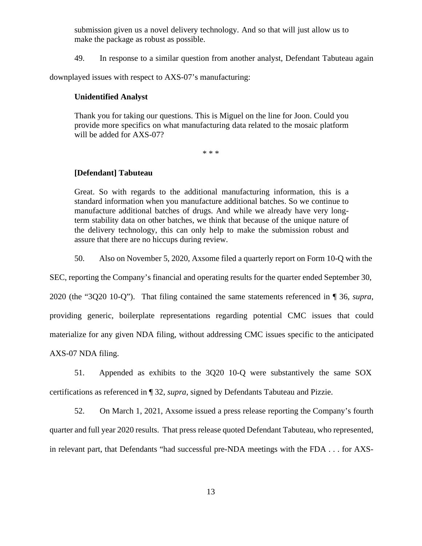submission given us a novel delivery technology. And so that will just allow us to make the package as robust as possible.

49. In response to a similar question from another analyst, Defendant Tabuteau again

downplayed issues with respect to AXS-07's manufacturing:

### **Unidentified Analyst**

Thank you for taking our questions. This is Miguel on the line for Joon. Could you provide more specifics on what manufacturing data related to the mosaic platform will be added for AXS-07?

\* \* \*

### **[Defendant] Tabuteau**

Great. So with regards to the additional manufacturing information, this is a standard information when you manufacture additional batches. So we continue to manufacture additional batches of drugs. And while we already have very longterm stability data on other batches, we think that because of the unique nature of the delivery technology, this can only help to make the submission robust and assure that there are no hiccups during review.

50. Also on November 5, 2020, Axsome filed a quarterly report on Form 10-Q with the

SEC, reporting the Company's financial and operating results for the quarter ended September 30,

2020 (the "3Q20 10-Q"). That filing contained the same statements referenced in ¶ 36, *supra*, providing generic, boilerplate representations regarding potential CMC issues that could materialize for any given NDA filing, without addressing CMC issues specific to the anticipated AXS-07 NDA filing.

51. Appended as exhibits to the 3Q20 10-Q were substantively the same SOX certifications as referenced in ¶ 32, *supra*, signed by Defendants Tabuteau and Pizzie.

52. On March 1, 2021, Axsome issued a press release reporting the Company's fourth quarter and full year 2020 results. That press release quoted Defendant Tabuteau, who represented, in relevant part, that Defendants "had successful pre-NDA meetings with the FDA . . . for AXS-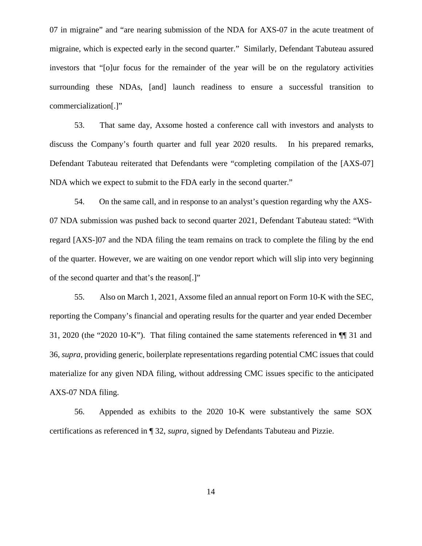07 in migraine" and "are nearing submission of the NDA for AXS-07 in the acute treatment of migraine, which is expected early in the second quarter." Similarly, Defendant Tabuteau assured investors that "[o]ur focus for the remainder of the year will be on the regulatory activities surrounding these NDAs, [and] launch readiness to ensure a successful transition to commercialization[.]"

53. That same day, Axsome hosted a conference call with investors and analysts to discuss the Company's fourth quarter and full year 2020 results. In his prepared remarks, Defendant Tabuteau reiterated that Defendants were "completing compilation of the [AXS-07] NDA which we expect to submit to the FDA early in the second quarter."

54. On the same call, and in response to an analyst's question regarding why the AXS- 07 NDA submission was pushed back to second quarter 2021, Defendant Tabuteau stated: "With regard [AXS-]07 and the NDA filing the team remains on track to complete the filing by the end of the quarter. However, we are waiting on one vendor report which will slip into very beginning of the second quarter and that's the reason[.]"

55. Also on March 1, 2021, Axsome filed an annual report on Form 10-K with the SEC, reporting the Company's financial and operating results for the quarter and year ended December 31, 2020 (the "2020 10-K"). That filing contained the same statements referenced in ¶¶ 31 and 36, *supra*, providing generic, boilerplate representations regarding potential CMC issues that could materialize for any given NDA filing, without addressing CMC issues specific to the anticipated AXS-07 NDA filing.

56. Appended as exhibits to the 2020 10-K were substantively the same SOX certifications as referenced in ¶ 32, *supra*, signed by Defendants Tabuteau and Pizzie.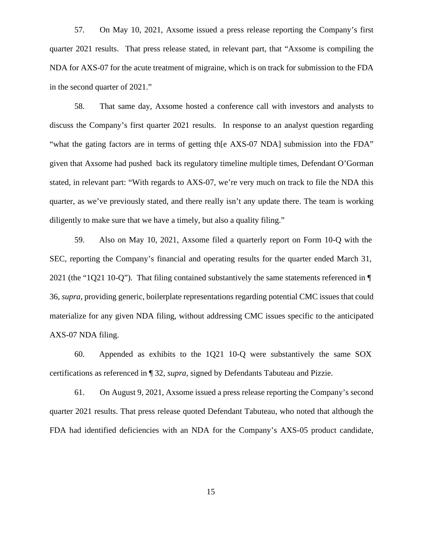57. On May 10, 2021, Axsome issued a press release reporting the Company's first quarter 2021 results. That press release stated, in relevant part, that "Axsome is compiling the NDA for AXS-07 for the acute treatment of migraine, which is on track for submission to the FDA in the second quarter of 2021."

58. That same day, Axsome hosted a conference call with investors and analysts to discuss the Company's first quarter 2021 results. In response to an analyst question regarding "what the gating factors are in terms of getting th[e AXS-07 NDA] submission into the FDA" given that Axsome had pushed back its regulatory timeline multiple times, Defendant O'Gorman stated, in relevant part: "With regards to AXS-07, we're very much on track to file the NDA this quarter, as we've previously stated, and there really isn't any update there. The team is working diligently to make sure that we have a timely, but also a quality filing."

59. Also on May 10, 2021, Axsome filed a quarterly report on Form 10-Q with the SEC, reporting the Company's financial and operating results for the quarter ended March 31, 2021 (the "1Q21 10-Q"). That filing contained substantively the same statements referenced in ¶ 36, *supra*, providing generic, boilerplate representations regarding potential CMC issues that could materialize for any given NDA filing, without addressing CMC issues specific to the anticipated AXS-07 NDA filing.

60. Appended as exhibits to the 1Q21 10-Q were substantively the same SOX certifications as referenced in ¶ 32, *supra*, signed by Defendants Tabuteau and Pizzie.

61. On August 9, 2021, Axsome issued a press release reporting the Company's second quarter 2021 results. That press release quoted Defendant Tabuteau, who noted that although the FDA had identified deficiencies with an NDA for the Company's AXS-05 product candidate,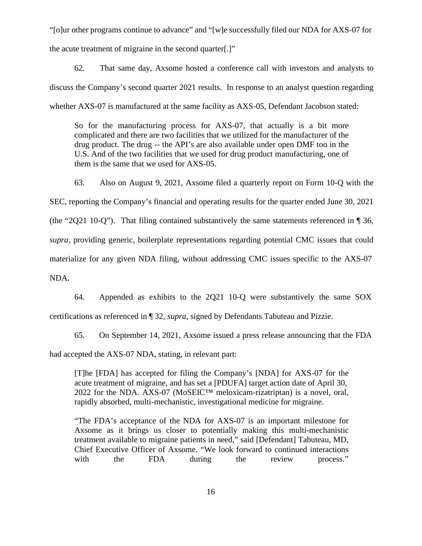"[o]ur other programs continue to advance" and "[w]e successfully filed our NDA for AXS-07 for the acute treatment of migraine in the second quarter[.]"

62. That same day, Axsome hosted a conference call with investors and analysts to discuss the Company's second quarter 2021 results. In response to an analyst question regarding whether AXS-07 is manufactured at the same facility as AXS-05, Defendant Jacobson stated:

So for the manufacturing process for AXS-07, that actually is a bit more complicated and there are two facilities that we utilized for the manufacturer of the drug product. The drug -- the API's are also available under open DMF too in the U.S. And of the two facilities that we used for drug product manufacturing, one of them is the same that we used for AXS-05.

63. Also on August 9, 2021, Axsome filed a quarterly report on Form 10-Q with the SEC, reporting the Company's financial and operating results for the quarter ended June 30, 2021 (the "2Q21 10-Q"). That filing contained substantively the same statements referenced in ¶ 36, *supra*, providing generic, boilerplate representations regarding potential CMC issues that could materialize for any given NDA filing, without addressing CMC issues specific to the AXS-07 NDA.

64. Appended as exhibits to the 2Q21 10-Q were substantively the same SOX certifications as referenced in ¶ 32, *supra*, signed by Defendants Tabuteau and Pizzie.

65. On September 14, 2021, Axsome issued a press release announcing that the FDA

had accepted the AXS-07 NDA, stating, in relevant part:

[T]he [FDA] has accepted for filing the Company's [NDA] for AXS-07 for the acute treatment of migraine, and has set a [PDUFA] target action date of April 30, 2022 for the NDA. AXS-07 (MoSEIC<sup>TM</sup> meloxicam-rizatriptan) is a novel, oral, rapidly absorbed, multi-mechanistic, investigational medicine for migraine.

"The FDA's acceptance of the NDA for AXS-07 is an important milestone for Axsome as it brings us closer to potentially making this multi-mechanistic treatment available to migraine patients in need," said [Defendant] Tabuteau, MD, Chief Executive Officer of Axsome. "We look forward to continued interactions with the FDA during the review process."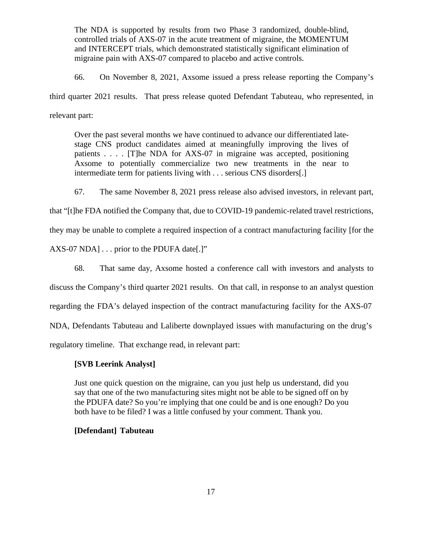The NDA is supported by results from two Phase 3 randomized, double-blind, controlled trials of AXS-07 in the acute treatment of migraine, the MOMENTUM and INTERCEPT trials, which demonstrated statistically significant elimination of migraine pain with AXS-07 compared to placebo and active controls.

66. On November 8, 2021, Axsome issued a press release reporting the Company's third quarter 2021 results. That press release quoted Defendant Tabuteau, who represented, in relevant part:

Over the past several months we have continued to advance our differentiated late stage CNS product candidates aimed at meaningfully improving the lives of patients . . . . [T]he NDA for AXS-07 in migraine was accepted, positioning Axsome to potentially commercialize two new treatments in the near to intermediate term for patients living with . . . serious CNS disorders[.]

67. The same November 8, 2021 press release also advised investors, in relevant part,

that "[t]he FDA notified the Company that, due to COVID-19 pandemic-related travel restrictions,

they may be unable to complete a required inspection of a contract manufacturing facility [for the

AXS-07 NDA] . . . prior to the PDUFA date[.]"

68. That same day, Axsome hosted a conference call with investors and analysts to

discuss the Company's third quarter 2021 results. On that call, in response to an analyst question

regarding the FDA's delayed inspection of the contract manufacturing facility for the AXS-07

NDA, Defendants Tabuteau and Laliberte downplayed issues with manufacturing on the drug's

regulatory timeline. That exchange read, in relevant part:

# **[SVB Leerink Analyst]**

Just one quick question on the migraine, can you just help us understand, did you say that one of the two manufacturing sites might not be able to be signed off on by the PDUFA date? So you're implying that one could be and is one enough? Do you both have to be filed? I was a little confused by your comment. Thank you.

# **[Defendant] Tabuteau**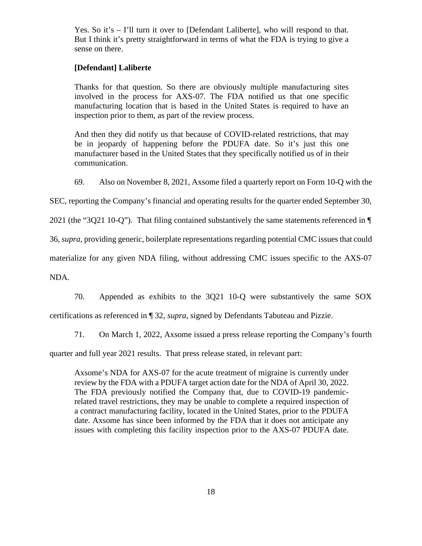Yes. So it's – I'll turn it over to [Defendant Laliberte], who will respond to that. But I think it's pretty straightforward in terms of what the FDA is trying to give a sense on there.

### **[Defendant] Laliberte**

Thanks for that question. So there are obviously multiple manufacturing sites involved in the process for AXS-07. The FDA notified us that one specific manufacturing location that is based in the United States is required to have an inspection prior to them, as part of the review process.

And then they did notify us that because of COVID-related restrictions, that may be in jeopardy of happening before the PDUFA date. So it's just this one manufacturer based in the United States that they specifically notified us of in their communication.

69. Also on November 8, 2021, Axsome filed a quarterly report on Form 10-Q with the

SEC, reporting the Company's financial and operating results for the quarter ended September 30,

2021 (the "3Q21 10-Q"). That filing contained substantively the same statements referenced in ¶

36, *supra*, providing generic, boilerplate representations regarding potential CMC issues that could

materialize for any given NDA filing, without addressing CMC issues specific to the AXS-07

NDA.

70. Appended as exhibits to the 3Q21 10-Q were substantively the same SOX

certifications as referenced in ¶ 32, *supra*, signed by Defendants Tabuteau and Pizzie.

71. On March 1, 2022, Axsome issued a press release reporting the Company's fourth

quarter and full year 2021 results. That press release stated, in relevant part:

Axsome's NDA for AXS-07 for the acute treatment of migraine is currently under review by the FDA with a PDUFA target action date for the NDA of April 30, 2022. The FDA previously notified the Company that, due to COVID-19 pandemicrelated travel restrictions, they may be unable to complete a required inspection of a contract manufacturing facility, located in the United States, prior to the PDUFA date. Axsome has since been informed by the FDA that it does not anticipate any issues with completing this facility inspection prior to the AXS-07 PDUFA date.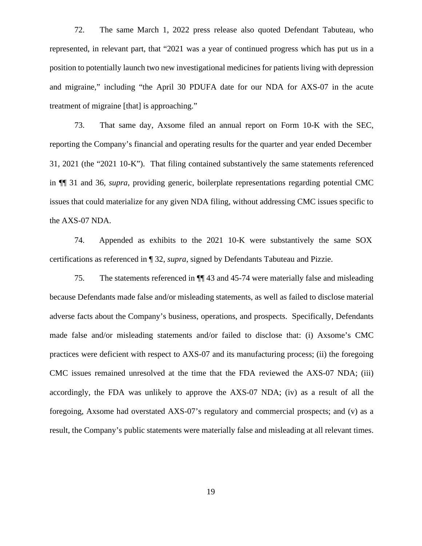72. The same March 1, 2022 press release also quoted Defendant Tabuteau, who represented, in relevant part, that "2021 was a year of continued progress which has put us in a position to potentially launch two new investigational medicines for patients living with depression and migraine," including "the April 30 PDUFA date for our NDA for AXS-07 in the acute treatment of migraine [that] is approaching."

73. That same day, Axsome filed an annual report on Form 10-K with the SEC, reporting the Company's financial and operating results for the quarter and year ended December 31, 2021 (the "2021 10-K"). That filing contained substantively the same statements referenced in ¶¶ 31 and 36, *supra*, providing generic, boilerplate representations regarding potential CMC issues that could materialize for any given NDA filing, without addressing CMC issues specific to the AXS-07 NDA.

74. Appended as exhibits to the 2021 10-K were substantively the same SOX certifications as referenced in ¶ 32, *supra*, signed by Defendants Tabuteau and Pizzie.

75. The statements referenced in ¶¶ 43 and 45-74 were materially false and misleading because Defendants made false and/or misleading statements, as well as failed to disclose material adverse facts about the Company's business, operations, and prospects. Specifically, Defendants made false and/or misleading statements and/or failed to disclose that: (i) Axsome's CMC practices were deficient with respect to AXS-07 and its manufacturing process; (ii) the foregoing CMC issues remained unresolved at the time that the FDA reviewed the AXS-07 NDA; (iii) accordingly, the FDA was unlikely to approve the AXS-07 NDA; (iv) as a result of all the foregoing, Axsome had overstated AXS-07's regulatory and commercial prospects; and (v) as a result, the Company's public statements were materially false and misleading at all relevant times.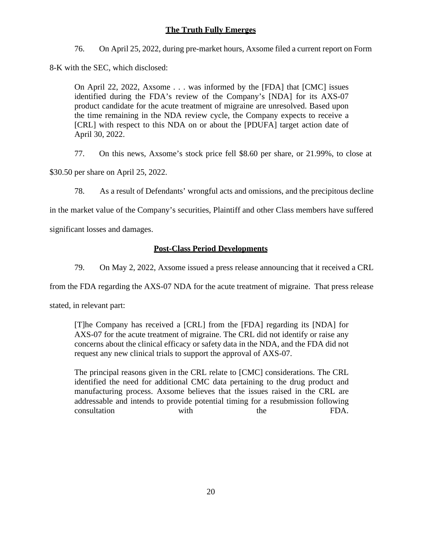# **The Truth Fully Emerges**

76. On April 25, 2022, during pre-market hours, Axsome filed a current report on Form

8-K with the SEC, which disclosed:

On April 22, 2022, Axsome . . . was informed by the [FDA] that [CMC] issues identified during the FDA's review of the Company's [NDA] for its AXS-07 product candidate for the acute treatment of migraine are unresolved. Based upon the time remaining in the NDA review cycle, the Company expects to receive a [CRL] with respect to this NDA on or about the [PDUFA] target action date of April 30, 2022.

77. On this news, Axsome's stock price fell \$8.60 per share, or 21.99%, to close at

\$30.50 per share on April 25, 2022.

78. As a result of Defendants' wrongful acts and omissions, and the precipitous decline

in the market value of the Company's securities, Plaintiff and other Class members have suffered

significant losses and damages.

# **Post-Class Period Developments**

79. On May 2, 2022, Axsome issued a press release announcing that it received a CRL

from the FDA regarding the AXS-07 NDA for the acute treatment of migraine. That press release

stated, in relevant part:

[T]he Company has received a [CRL] from the [FDA] regarding its [NDA] for AXS-07 for the acute treatment of migraine. The CRL did not identify or raise any concerns about the clinical efficacy or safety data in the NDA, and the FDA did not request any new clinical trials to support the approval of AXS-07.

The principal reasons given in the CRL relate to [CMC] considerations. The CRL identified the need for additional CMC data pertaining to the drug product and manufacturing process. Axsome believes that the issues raised in the CRL are addressable and intends to provide potential timing for a resubmission following consultation with the FDA.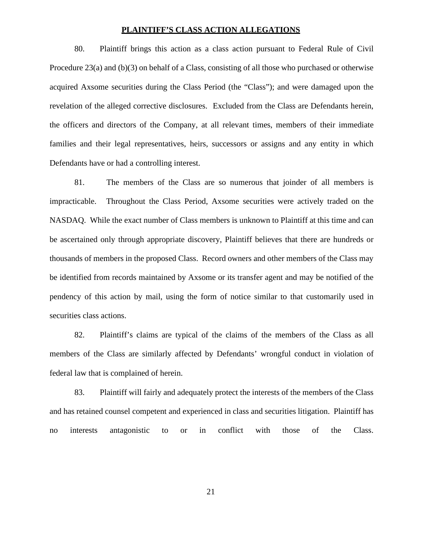#### **PLAINTIFF'S CLASS ACTION ALLEGATIONS**

80. Plaintiff brings this action as a class action pursuant to Federal Rule of Civil Procedure 23(a) and (b)(3) on behalf of a Class, consisting of all those who purchased or otherwise acquired Axsome securities during the Class Period (the "Class"); and were damaged upon the revelation of the alleged corrective disclosures. Excluded from the Class are Defendants herein, the officers and directors of the Company, at all relevant times, members of their immediate families and their legal representatives, heirs, successors or assigns and any entity in which Defendants have or had a controlling interest.

81. The members of the Class are so numerous that joinder of all members is impracticable. Throughout the Class Period, Axsome securities were actively traded on the NASDAQ. While the exact number of Class members is unknown to Plaintiff at this time and can be ascertained only through appropriate discovery, Plaintiff believes that there are hundreds or thousands of members in the proposed Class. Record owners and other members of the Class may be identified from records maintained by Axsome or its transfer agent and may be notified of the pendency of this action by mail, using the form of notice similar to that customarily used in securities class actions.

82. Plaintiff's claims are typical of the claims of the members of the Class as all members of the Class are similarly affected by Defendants' wrongful conduct in violation of federal law that is complained of herein.

83. Plaintiff will fairly and adequately protect the interests of the members of the Class and has retained counsel competent and experienced in class and securities litigation. Plaintiff has no interests antagonistic to or in conflict with those of the Class.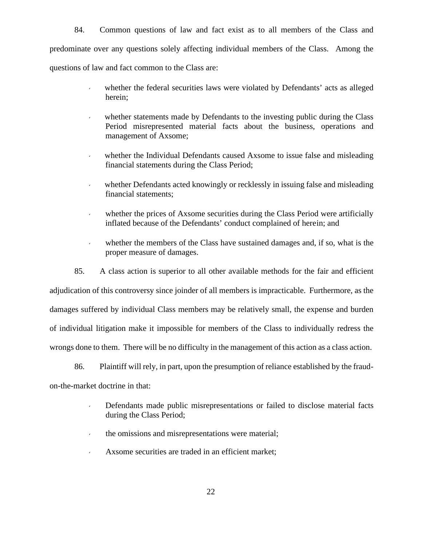84. Common questions of law and fact exist as to all members of the Class and predominate over any questions solely affecting individual members of the Class. Among the questions of law and fact common to the Class are:

- whether the federal securities laws were violated by Defendants' acts as alleged herein;
- whether statements made by Defendants to the investing public during the Class Period misrepresented material facts about the business, operations and management of Axsome;
- whether the Individual Defendants caused Axsome to issue false and misleading financial statements during the Class Period;
- whether Defendants acted knowingly or recklessly in issuing false and misleading financial statements;
- whether the prices of Axsome securities during the Class Period were artificially inflated because of the Defendants' conduct complained of herein; and
- whether the members of the Class have sustained damages and, if so, what is the proper measure of damages.

85. A class action is superior to all other available methods for the fair and efficient adjudication of this controversy since joinder of all members is impracticable. Furthermore, as the damages suffered by individual Class members may be relatively small, the expense and burden of individual litigation make it impossible for members of the Class to individually redress the wrongs done to them. There will be no difficulty in the management of this action as a class action.

86. Plaintiff will rely, in part, upon the presumption of reliance established by the fraud on-the-market doctrine in that:

- Defendants made public misrepresentations or failed to disclose material facts during the Class Period;
- the omissions and misrepresentations were material;
- Axsome securities are traded in an efficient market;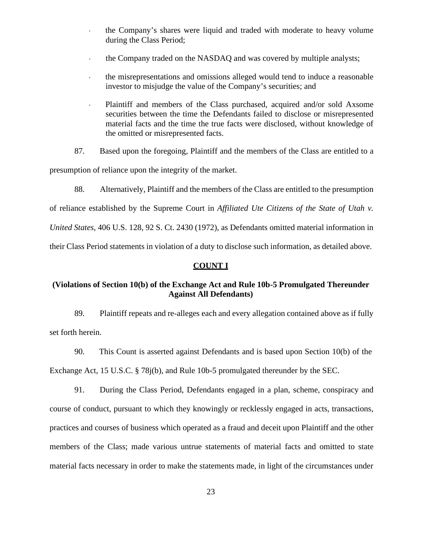- the Company's shares were liquid and traded with moderate to heavy volume during the Class Period;
- the Company traded on the NASDAQ and was covered by multiple analysts;
- the misrepresentations and omissions alleged would tend to induce a reasonable investor to misjudge the value of the Company's securities; and
- Plaintiff and members of the Class purchased, acquired and/or sold Axsome securities between the time the Defendants failed to disclose or misrepresented material facts and the time the true facts were disclosed, without knowledge of the omitted or misrepresented facts.
- 87. Based upon the foregoing, Plaintiff and the members of the Class are entitled to a

presumption of reliance upon the integrity of the market.

88. Alternatively, Plaintiff and the members of the Class are entitled to the presumption

of reliance established by the Supreme Court in *Affiliated Ute Citizens of the State of Utah v.*

*United States*, 406 U.S. 128, 92 S. Ct. 2430 (1972), as Defendants omitted material information in

their Class Period statements in violation of a duty to disclose such information, as detailed above.

### **COUNT I**

# **(Violations of Section 10(b) of the Exchange Act and Rule 10b-5 Promulgated Thereunder Against All Defendants)**

89. Plaintiff repeats and re-alleges each and every allegation contained above as if fully set forth herein.

90. This Count is asserted against Defendants and is based upon Section 10(b) of the Exchange Act, 15 U.S.C. § 78j(b), and Rule 10b-5 promulgated thereunder by the SEC.

91. During the Class Period, Defendants engaged in a plan, scheme, conspiracy and course of conduct, pursuant to which they knowingly or recklessly engaged in acts, transactions, practices and courses of business which operated as a fraud and deceit upon Plaintiff and the other members of the Class; made various untrue statements of material facts and omitted to state material facts necessary in order to make the statements made, in light of the circumstances under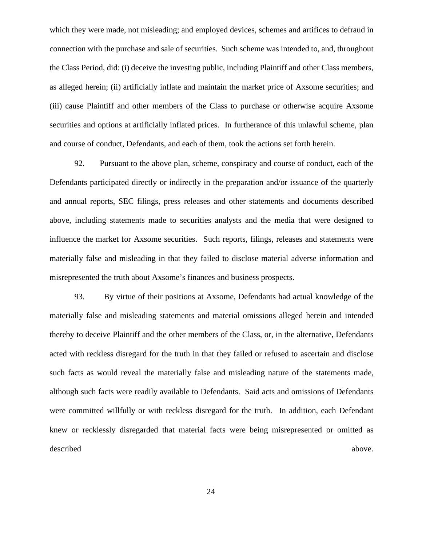which they were made, not misleading; and employed devices, schemes and artifices to defraud in connection with the purchase and sale of securities. Such scheme was intended to, and, throughout the Class Period, did: (i) deceive the investing public, including Plaintiff and other Class members, as alleged herein; (ii) artificially inflate and maintain the market price of Axsome securities; and (iii) cause Plaintiff and other members of the Class to purchase or otherwise acquire Axsome securities and options at artificially inflated prices. In furtherance of this unlawful scheme, plan and course of conduct, Defendants, and each of them, took the actions set forth herein.

92. Pursuant to the above plan, scheme, conspiracy and course of conduct, each of the Defendants participated directly or indirectly in the preparation and/or issuance of the quarterly and annual reports, SEC filings, press releases and other statements and documents described above, including statements made to securities analysts and the media that were designed to influence the market for Axsome securities. Such reports, filings, releases and statements were materially false and misleading in that they failed to disclose material adverse information and misrepresented the truth about Axsome's finances and business prospects.

93. By virtue of their positions at Axsome, Defendants had actual knowledge of the materially false and misleading statements and material omissions alleged herein and intended thereby to deceive Plaintiff and the other members of the Class, or, in the alternative, Defendants acted with reckless disregard for the truth in that they failed or refused to ascertain and disclose such facts as would reveal the materially false and misleading nature of the statements made, although such facts were readily available to Defendants. Said acts and omissions of Defendants were committed willfully or with reckless disregard for the truth. In addition, each Defendant knew or recklessly disregarded that material facts were being misrepresented or omitted as described above.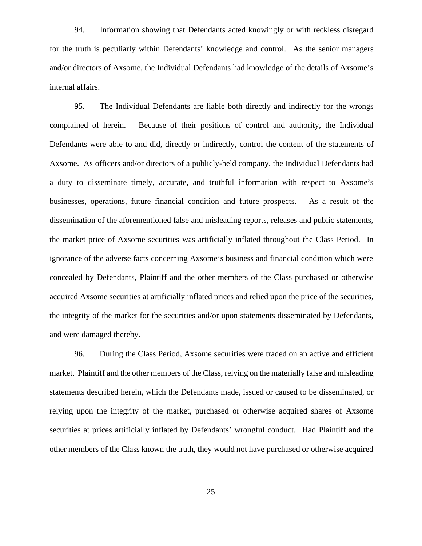94. Information showing that Defendants acted knowingly or with reckless disregard for the truth is peculiarly within Defendants' knowledge and control. As the senior managers and/or directors of Axsome, the Individual Defendants had knowledge of the details of Axsome's internal affairs.

95. The Individual Defendants are liable both directly and indirectly for the wrongs complained of herein. Because of their positions of control and authority, the Individual Defendants were able to and did, directly or indirectly, control the content of the statements of Axsome. As officers and/or directors of a publicly-held company, the Individual Defendants had a duty to disseminate timely, accurate, and truthful information with respect to Axsome's businesses, operations, future financial condition and future prospects. As a result of the dissemination of the aforementioned false and misleading reports, releases and public statements, the market price of Axsome securities was artificially inflated throughout the Class Period. In ignorance of the adverse facts concerning Axsome's business and financial condition which were concealed by Defendants, Plaintiff and the other members of the Class purchased or otherwise acquired Axsome securities at artificially inflated prices and relied upon the price of the securities, the integrity of the market for the securities and/or upon statements disseminated by Defendants, and were damaged thereby.

96. During the Class Period, Axsome securities were traded on an active and efficient market. Plaintiff and the other members of the Class, relying on the materially false and misleading statements described herein, which the Defendants made, issued or caused to be disseminated, or relying upon the integrity of the market, purchased or otherwise acquired shares of Axsome securities at prices artificially inflated by Defendants' wrongful conduct. Had Plaintiff and the other members of the Class known the truth, they would not have purchased or otherwise acquired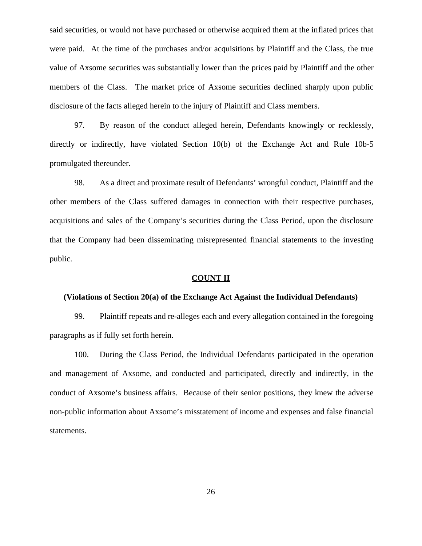said securities, or would not have purchased or otherwise acquired them at the inflated prices that were paid. At the time of the purchases and/or acquisitions by Plaintiff and the Class, the true value of Axsome securities was substantially lower than the prices paid by Plaintiff and the other members of the Class. The market price of Axsome securities declined sharply upon public disclosure of the facts alleged herein to the injury of Plaintiff and Class members.

97. By reason of the conduct alleged herein, Defendants knowingly or recklessly, directly or indirectly, have violated Section 10(b) of the Exchange Act and Rule 10b-5 promulgated thereunder.

98. As a direct and proximate result of Defendants' wrongful conduct, Plaintiff and the other members of the Class suffered damages in connection with their respective purchases, acquisitions and sales of the Company's securities during the Class Period, upon the disclosure that the Company had been disseminating misrepresented financial statements to the investing public.

#### **COUNT II**

#### **(Violations of Section 20(a) of the Exchange Act Against the Individual Defendants)**

99. Plaintiff repeats and re-alleges each and every allegation contained in the foregoing paragraphs as if fully set forth herein.

100. During the Class Period, the Individual Defendants participated in the operation and management of Axsome, and conducted and participated, directly and indirectly, in the conduct of Axsome's business affairs. Because of their senior positions, they knew the adverse non-public information about Axsome's misstatement of income and expenses and false financial statements.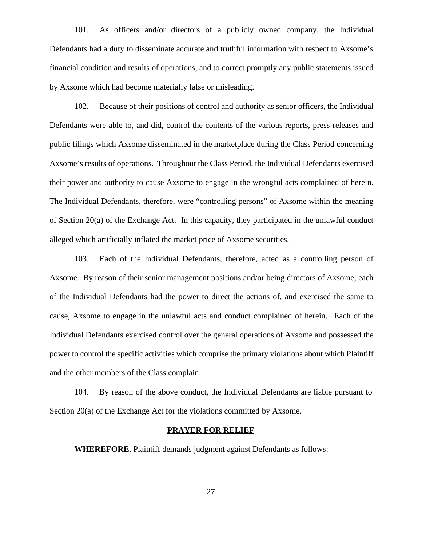101. As officers and/or directors of a publicly owned company, the Individual Defendants had a duty to disseminate accurate and truthful information with respect to Axsome's financial condition and results of operations, and to correct promptly any public statements issued by Axsome which had become materially false or misleading.

102. Because of their positions of control and authority as senior officers, the Individual Defendants were able to, and did, control the contents of the various reports, press releases and public filings which Axsome disseminated in the marketplace during the Class Period concerning Axsome's results of operations. Throughout the Class Period, the Individual Defendants exercised their power and authority to cause Axsome to engage in the wrongful acts complained of herein. The Individual Defendants, therefore, were "controlling persons" of Axsome within the meaning of Section 20(a) of the Exchange Act. In this capacity, they participated in the unlawful conduct alleged which artificially inflated the market price of Axsome securities.

103. Each of the Individual Defendants, therefore, acted as a controlling person of Axsome. By reason of their senior management positions and/or being directors of Axsome, each of the Individual Defendants had the power to direct the actions of, and exercised the same to cause, Axsome to engage in the unlawful acts and conduct complained of herein. Each of the Individual Defendants exercised control over the general operations of Axsome and possessed the power to control the specific activities which comprise the primary violations about which Plaintiff and the other members of the Class complain.

104. By reason of the above conduct, the Individual Defendants are liable pursuant to Section 20(a) of the Exchange Act for the violations committed by Axsome.

#### **PRAYER FOR RELIEF**

**WHEREFORE**, Plaintiff demands judgment against Defendants as follows: